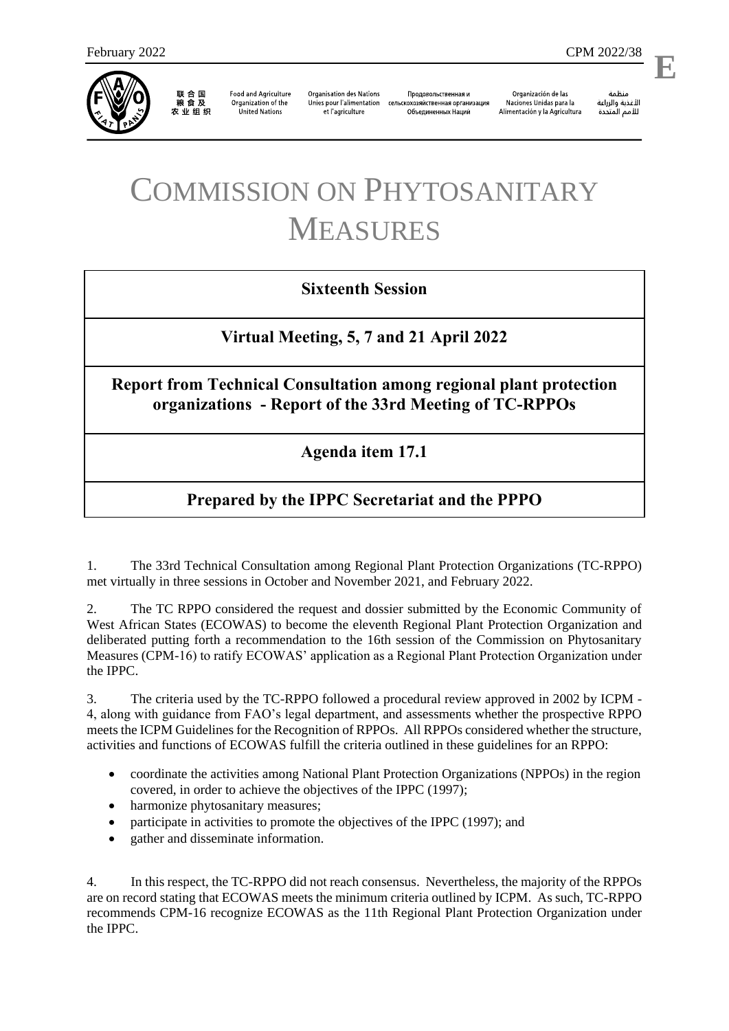

联合国<br>粮食及 农业组织

**Food and Agriculture** Organization of the **United Nations** 

**Organisation des Nations** Unies pour l'alimentation et l'agriculture

Продовольственная и сельскохозяйственная организация Объелиненных Наций

Organización de las Naciones Unidas para la Alimentación y la Agricultura

منظمة الأغذية والزراعة للأمم المتحدة

l,

# COMMISSION ON PHYTOSANITARY MEASURES

## **Sixteenth Session**

## **Virtual Meeting, 5, 7 and 21 April 2022**

#### **Report from Technical Consultation among regional plant protection organizations - Report of the 33rd Meeting of TC-RPPOs**

#### **Agenda item 17.1**

# **Prepared by the IPPC Secretariat and the PPPO**

1. The 33rd Technical Consultation among Regional Plant Protection Organizations (TC-RPPO) met virtually in three sessions in October and November 2021, and February 2022.

2. The TC RPPO considered the request and dossier submitted by the Economic Community of West African States (ECOWAS) to become the eleventh Regional Plant Protection Organization and deliberated putting forth a recommendation to the 16th session of the Commission on Phytosanitary Measures (CPM-16) to ratify ECOWAS' application as a Regional Plant Protection Organization under the IPPC.

3. The criteria used by the TC-RPPO followed a procedural review approved in 2002 by ICPM - 4, along with guidance from FAO's legal department, and assessments whether the prospective RPPO meets the ICPM Guidelines for the Recognition of RPPOs. All RPPOs considered whether the structure, activities and functions of ECOWAS fulfill the criteria outlined in these guidelines for an RPPO:

- coordinate the activities among National Plant Protection Organizations (NPPOs) in the region covered, in order to achieve the objectives of the IPPC (1997);
- harmonize phytosanitary measures;
- participate in activities to promote the objectives of the IPPC (1997); and
- gather and disseminate information.

4. In this respect, the TC-RPPO did not reach consensus. Nevertheless, the majority of the RPPOs are on record stating that ECOWAS meets the minimum criteria outlined by ICPM. As such, TC-RPPO recommends CPM-16 recognize ECOWAS as the 11th Regional Plant Protection Organization under the IPPC.